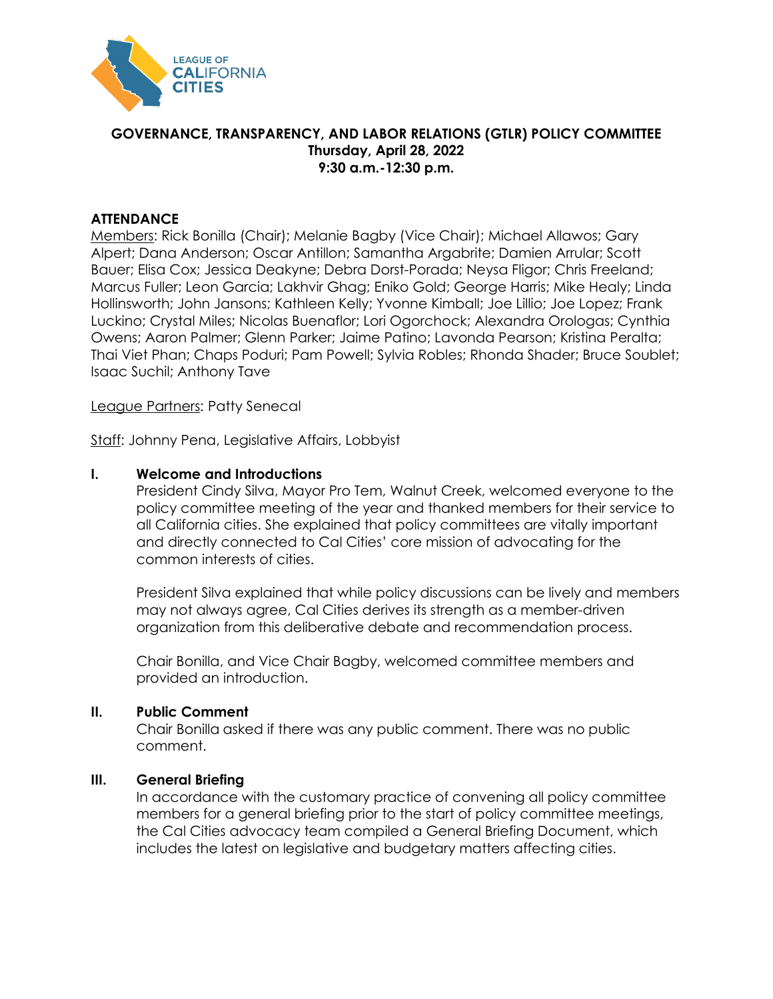

## **GOVERNANCE, TRANSPARENCY, AND LABOR RELATIONS (GTLR) POLICY COMMITTEE Thursday, April 28, 2022 9:30 a.m.-12:30 p.m.**

# **ATTENDANCE**

Members: Rick Bonilla (Chair); Melanie Bagby (Vice Chair); Michael Allawos; Gary Alpert; Dana Anderson; Oscar Antillon; Samantha Argabrite; Damien Arrular; Scott Bauer; Elisa Cox; Jessica Deakyne; Debra Dorst-Porada; Neysa Fligor; Chris Freeland; Marcus Fuller; Leon Garcia; Lakhvir Ghag; Eniko Gold; George Harris; Mike Healy; Linda Hollinsworth; John Jansons; Kathleen Kelly; Yvonne Kimball; Joe Lillio; Joe Lopez; Frank Luckino; Crystal Miles; Nicolas Buenaflor; Lori Ogorchock; Alexandra Orologas; Cynthia Owens; Aaron Palmer; Glenn Parker; Jaime Patino; Lavonda Pearson; Kristina Peralta; Thai Viet Phan; Chaps Poduri; Pam Powell; Sylvia Robles; Rhonda Shader; Bruce Soublet; Isaac Suchil; Anthony Tave

#### League Partners: Patty Senecal

Staff: Johnny Pena, Legislative Affairs, Lobbyist

## **I. Welcome and Introductions**

President Cindy Silva, Mayor Pro Tem, Walnut Creek, welcomed everyone to the policy committee meeting of the year and thanked members for their service to all California cities. She explained that policy committees are vitally important and directly connected to Cal Cities' core mission of advocating for the common interests of cities.

President Silva explained that while policy discussions can be lively and members may not always agree, Cal Cities derives its strength as a member-driven organization from this deliberative debate and recommendation process.

Chair Bonilla, and Vice Chair Bagby, welcomed committee members and provided an introduction.

#### **II. Public Comment**

Chair Bonilla asked if there was any public comment. There was no public comment.

## **III. General Briefing**

In accordance with the customary practice of convening all policy committee members for a general briefing prior to the start of policy committee meetings, the Cal Cities advocacy team compiled a General Briefing Document, which includes the latest on legislative and budgetary matters affecting cities.